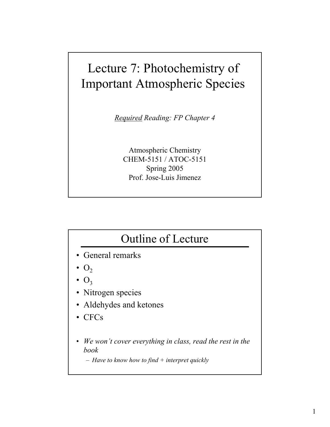## Lecture 7: Photochemistry of Important Atmospheric Species

*Required Reading: FP Chapter 4*

Atmospheric Chemistry CHEM-5151 / ATOC-5151 Spring 2005 Prof. Jose-Luis Jimenez

## Outline of Lecture

- General remarks
- $O<sub>2</sub>$
- $O<sub>3</sub>$
- Nitrogen species
- Aldehydes and ketones
- CFCs
- *We won't cover everything in class, read the rest in the book*

– *Have to know how to find + interpret quickly*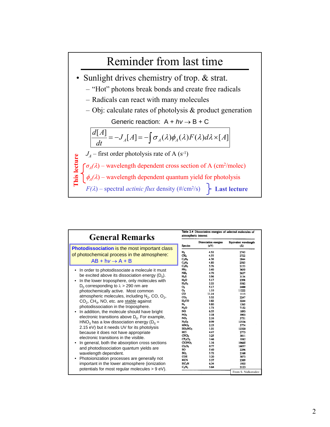

| <b>General Remarks</b>                                                                                                                                                                                                                                                                                                                                                                                                                                                                                                                                                                                                                                                                                                                                                          |                                                                                                                                                                                                                                                                                                                                                                                                                   | Table 2.4 Dissociation energies of selected molecules of<br>atmospheric interest                                                                                                              |                                                                                                                                                                                                 |  |
|---------------------------------------------------------------------------------------------------------------------------------------------------------------------------------------------------------------------------------------------------------------------------------------------------------------------------------------------------------------------------------------------------------------------------------------------------------------------------------------------------------------------------------------------------------------------------------------------------------------------------------------------------------------------------------------------------------------------------------------------------------------------------------|-------------------------------------------------------------------------------------------------------------------------------------------------------------------------------------------------------------------------------------------------------------------------------------------------------------------------------------------------------------------------------------------------------------------|-----------------------------------------------------------------------------------------------------------------------------------------------------------------------------------------------|-------------------------------------------------------------------------------------------------------------------------------------------------------------------------------------------------|--|
|                                                                                                                                                                                                                                                                                                                                                                                                                                                                                                                                                                                                                                                                                                                                                                                 | <b>Species</b>                                                                                                                                                                                                                                                                                                                                                                                                    | Dissociation energies<br>(eV)                                                                                                                                                                 | Equivalent wavelength<br>(A)                                                                                                                                                                    |  |
| <b>Photodissociation is the most important class</b><br>of photochemical process in the atmosphere:<br>$AB + hv \rightarrow A + B$<br>In order to photodissociate a molecule it must<br>٠<br>be excited above its dissociation energy $(D_0)$ .<br>In the lower troposphere, only molecules with<br>٠<br>$D_0$ corresponding to $\lambda > 290$ nm are<br>photochemically active. Most common<br>atmospheric molecules, including $N_2$ , CO, O <sub>2</sub> ,<br>CO <sub>2</sub> , CH <sub>4</sub> , NO, etc. are stable against<br>photodissociation in the troposphere.<br>In addition, the molecule should have bright<br>electronic transitions above $D_0$ . For example,<br>$HNO3$ has a low dissociation energy ( $D0$ =<br>2.15 eV) but it needs UV for its photolysis | H <sub>2</sub><br>CH <sub>a</sub><br>C <sub>2</sub> H <sub>6</sub><br>$C_2H_4$<br>C <sub>2</sub> H <sub>2</sub><br>PH <sub>2</sub><br>NH <sub>3</sub><br>$H_2S$<br>H <sub>2</sub> O<br>$H_2O_2$<br>$\mathbf{o}_2$<br>о,<br>$_{\rm co}$<br>CO <sub>2</sub><br>H <sub>2</sub> CO<br>N <sub>2</sub><br>N2O<br>NO.<br>NO,<br>NO <sub>3</sub><br>$N_2O_5$<br>HNO <sub>3</sub><br>HO <sub>2</sub> NO <sub>2</sub><br>нα | 4.52<br>4.55<br>4.36<br>4.80<br>5.76<br>3.40<br>4.70<br>3.96<br>5.17<br>2.22<br>5.17<br>1.10<br>11.14<br>5.52<br>3.82<br>9.80<br>1.73<br>6.55<br>3.18<br>2.16<br>0.99<br>2.15<br>1,01<br>4.47 | 2743<br>2722<br>2844<br>2583<br>2153<br>3650<br>2637<br>3134<br>2398<br>5582<br>2400<br>11222<br>1113<br>2247<br>3244<br>1265<br>7152<br>1893<br>3903<br>5731<br>12536<br>5774<br>12320<br>2773 |  |
| because it does not have appropriate<br>electronic transitions in the visible.<br>In general, both the absorption cross sections<br>and photodissociation quantum yields are<br>wavelength dependent.<br>Photoionization processes are generally not<br>important in the lower atmosphere (ionization<br>potentials for most regular molecules > 9 eV).                                                                                                                                                                                                                                                                                                                                                                                                                         | CFCI <sub>1</sub><br>$CF_2Cl_2$<br>CIONO <sub>2</sub><br>Cl <sub>2</sub> O <sub>2</sub><br>SO.<br>SO,<br>$\cos$<br>HCN<br>HC <sub>3</sub> N<br>$C_2N_2$                                                                                                                                                                                                                                                           | 3.25<br>3.46<br>1.16<br>0.77<br>5.40<br>5.72<br>3.20<br>5.37<br>6.34<br>5.84                                                                                                                  | 3811<br>3582<br>10665<br>16057<br>2296<br>2168<br>3873<br>2309<br>1955<br>2123                                                                                                                  |  |
|                                                                                                                                                                                                                                                                                                                                                                                                                                                                                                                                                                                                                                                                                                                                                                                 |                                                                                                                                                                                                                                                                                                                                                                                                                   |                                                                                                                                                                                               | From S. Nidkorodov                                                                                                                                                                              |  |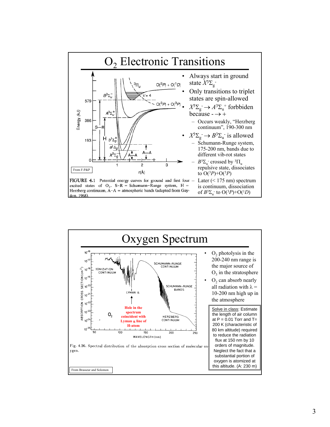

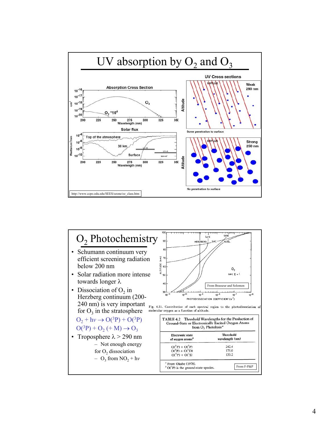

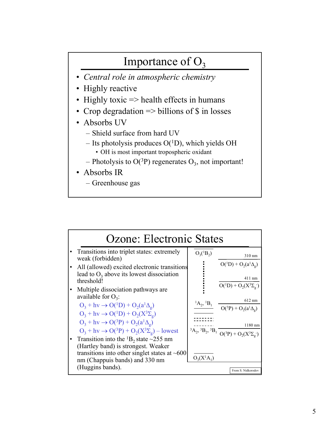## Importance of  $O_3$

- *Central role in atmospheric chemistry*
- Highly reactive
- Highly toxic => health effects in humans
- Crop degradation => billions of \$ in losses
- Absorbs UV
	- Shield surface from hard UV
	- Its photolysis produces  $O(^1D)$ , which yields OH
		- OH is most important tropospheric oxidant
	- Photolysis to O( $^{3}P$ ) regenerates O<sub>3</sub>, not important!
- Absorbs IR
	- Greenhouse gas

| Ozone: Electronic States                                                                                      |                               |                                                                                       |  |  |  |
|---------------------------------------------------------------------------------------------------------------|-------------------------------|---------------------------------------------------------------------------------------|--|--|--|
| Transitions into triplet states: extremely<br>weak (forbidden)                                                | $O_3(^1B_2)$                  | $310 \text{ nm}$                                                                      |  |  |  |
| All (allowed) excited electronic transitions<br>lead to $O_3$ above its lowest dissociation<br>threshold!     |                               | $O(^{1}D) + O_2(a^{1}\Delta_{\varrho})$<br>$411 \text{ nm}$                           |  |  |  |
| Multiple dissociation pathways are.<br>available for $O_3$ :                                                  |                               | $O(^{1}D) + O_2(X^{3}\Sigma_g)$<br>$612 \text{ nm}$                                   |  |  |  |
| $O_3 + hv \rightarrow O(^{1}D) + O_2(a^1\Delta_o)$<br>$O_3 + hy \rightarrow O(^1D) + O_2(X^3\Sigma_o)$        | ${}^{1}A_{2}$ , ${}^{1}B_{1}$ | $O({}^{3}P) + O_{2}(a^{1}\Delta_{g})$                                                 |  |  |  |
| $O_3 + hv \rightarrow O(^3P) + O_2(a^1\Delta_g)$<br>$O_3 + hv \rightarrow O(^3P) + O_2(X^3\Sigma_g) - lowest$ |                               | $1180$ nm<br>${}^3A_2, {}^3B_2, {}^3B_1$ $\overline{O({}^3P) + O_2(X^3\Sigma_g^{-})}$ |  |  |  |
| Transition into the ${}^{1}B_{2}$ state $\sim$ 255 nm<br>(Hartley band) is strongest. Weaker                  |                               |                                                                                       |  |  |  |
| transitions into other singlet states at $~600$<br>nm (Chappuis bands) and 330 nm<br>(Huggins bands).         | $O_3(X^1A_1)$                 |                                                                                       |  |  |  |
|                                                                                                               |                               | From S. Nidkorodov                                                                    |  |  |  |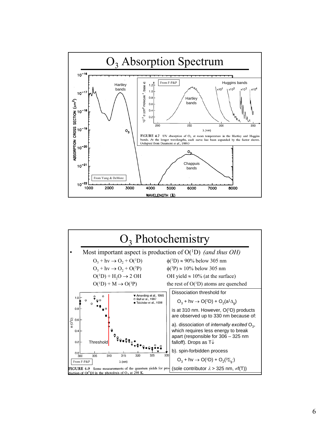

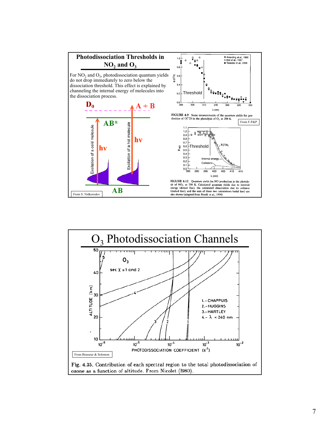



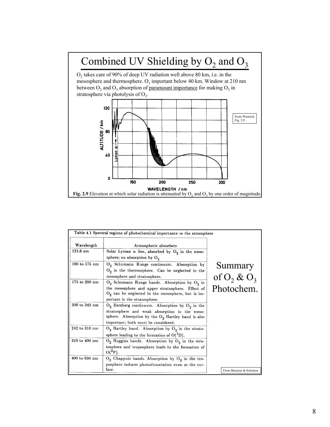

|               | Table 4.1 Spectral regions of photochemical importance in the atmosphere                                                                                                                             |                             |
|---------------|------------------------------------------------------------------------------------------------------------------------------------------------------------------------------------------------------|-----------------------------|
| Wavelength    | Atmospheric absorbers                                                                                                                                                                                |                             |
| $121.6$ nm    | Solar Lyman $\alpha$ line, absorbed by $O_2$ in the meso-<br>sphere; no absorption by $O_3$                                                                                                          |                             |
| 100 to 175 nm | $O_2$ Schumann Runge continuum. Absorption by<br>$\mathrm{O}_2$ in the thermosphere. Can be neglected in the<br>mesosphere and stratosphere.                                                         | Summary<br>of $O_2$ & $O_3$ |
| 175 to 200 nm | $O_2$ Schumann Runge bands. Absorption by $O_2$ in<br>the mesosphere and upper stratosphere. Effect of<br>$O_3$ can be neglected in the mesosphere, but is im-<br>portant in the stratosphere.       | Photochem.                  |
| 200 to 242 nm | $O_2$ Herzberg continuum. Absorption by $O_2$ in the<br>stratosphere and weak absorption in the meso-<br>sphere. Absorption by the $O_3$ Hartley band is also<br>important; both must be considered. |                             |
| 242 to 310 nm | $O_3$ Hartley band. Absorption by $O_3$ in the strato-<br>sphere leading to the formation of $O(^1D)$ .                                                                                              |                             |
| 310 to 400 nm | $O_3$ Huggins bands. Absorption by $O_3$ in the stra-<br>tosphere and troposphere leads to the formation of<br>$O(^{3}P)$ .                                                                          |                             |
| 400 to 850 nm | $O_3$ Chappuis bands. Absorption by $O_3$ in the tro-<br>posphere induces photodissociation even at the sur-                                                                                         |                             |
|               | face.                                                                                                                                                                                                | From Brasseur & Solomon     |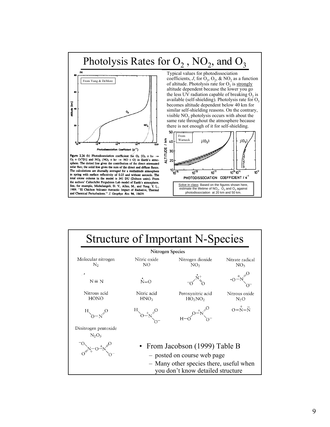

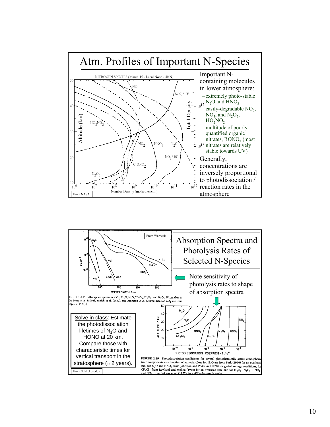

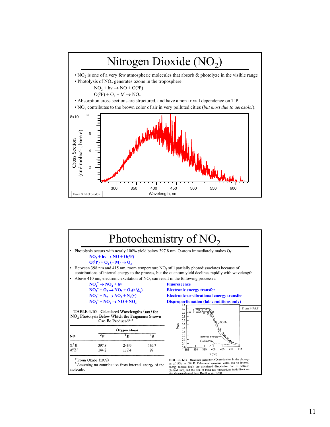

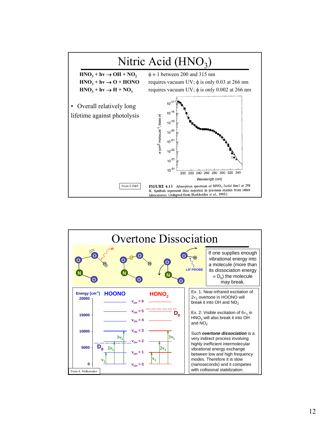

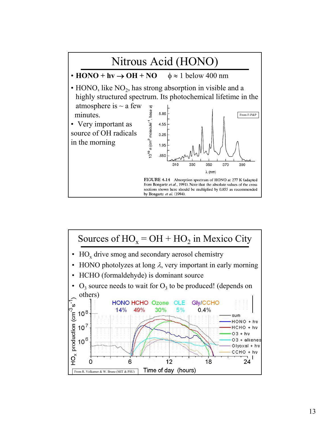

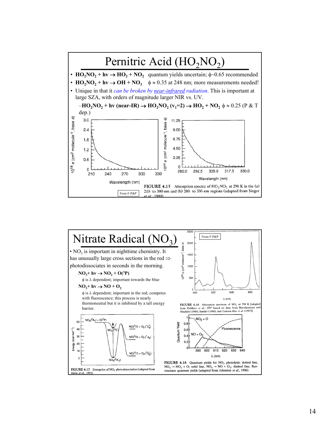

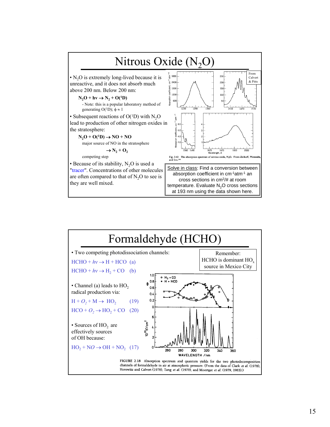

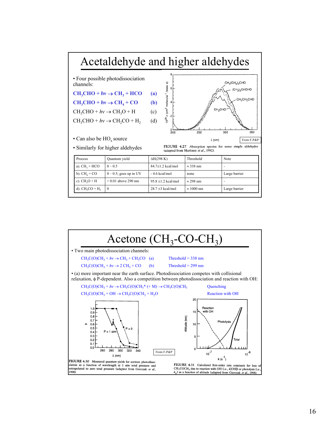